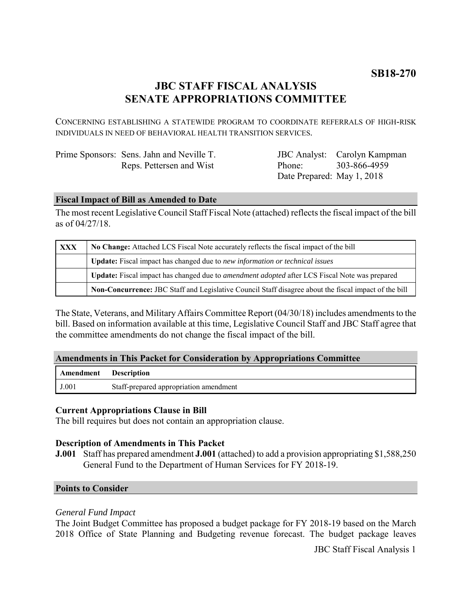# **JBC STAFF FISCAL ANALYSIS SENATE APPROPRIATIONS COMMITTEE**

CONCERNING ESTABLISHING A STATEWIDE PROGRAM TO COORDINATE REFERRALS OF HIGH-RISK INDIVIDUALS IN NEED OF BEHAVIORAL HEALTH TRANSITION SERVICES.

| Prime Sponsors: Sens. Jahn and Neville T. |
|-------------------------------------------|
| Reps. Pettersen and Wist                  |

JBC Analyst: Carolyn Kampman Phone: Date Prepared: May 1, 2018 303-866-4959

### **Fiscal Impact of Bill as Amended to Date**

The most recent Legislative Council Staff Fiscal Note (attached) reflects the fiscal impact of the bill as of 04/27/18.

| XXX | No Change: Attached LCS Fiscal Note accurately reflects the fiscal impact of the bill                       |
|-----|-------------------------------------------------------------------------------------------------------------|
|     | <b>Update:</b> Fiscal impact has changed due to new information or technical issues                         |
|     | <b>Update:</b> Fiscal impact has changed due to <i>amendment adopted</i> after LCS Fiscal Note was prepared |
|     | Non-Concurrence: JBC Staff and Legislative Council Staff disagree about the fiscal impact of the bill       |

The State, Veterans, and Military Affairs Committee Report (04/30/18) includes amendments to the bill. Based on information available at this time, Legislative Council Staff and JBC Staff agree that the committee amendments do not change the fiscal impact of the bill.

### **Amendments in This Packet for Consideration by Appropriations Committee**

| <b>Amendment</b> Description |                                        |
|------------------------------|----------------------------------------|
| J.001                        | Staff-prepared appropriation amendment |

### **Current Appropriations Clause in Bill**

The bill requires but does not contain an appropriation clause.

### **Description of Amendments in This Packet**

**J.001** Staff has prepared amendment **J.001** (attached) to add a provision appropriating \$1,588,250 General Fund to the Department of Human Services for FY 2018-19.

### **Points to Consider**

### *General Fund Impact*

The Joint Budget Committee has proposed a budget package for FY 2018-19 based on the March 2018 Office of State Planning and Budgeting revenue forecast. The budget package leaves